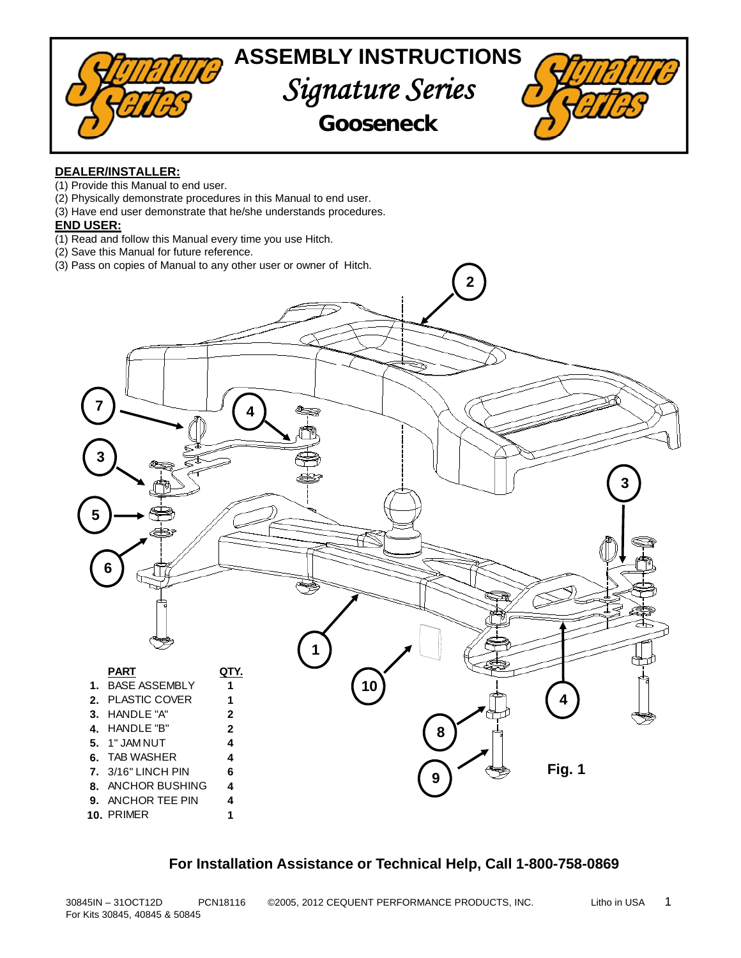

## **DEALER/INSTALLER:**

- (1) Provide this Manual to end user.
- (2) Physically demonstrate procedures in this Manual to end user.
- (3) Have end user demonstrate that he/she understands procedures.

## **END USER:**

- (1) Read and follow this Manual every time you use Hitch.
- (2) Save this Manual for future reference (2) Save this Manual for future reference.
- (3) Pass on copies of Manual to any other user or owner of Hitch.



## **For Installation Assistance or Technical Help, Call 1-800-758-0869**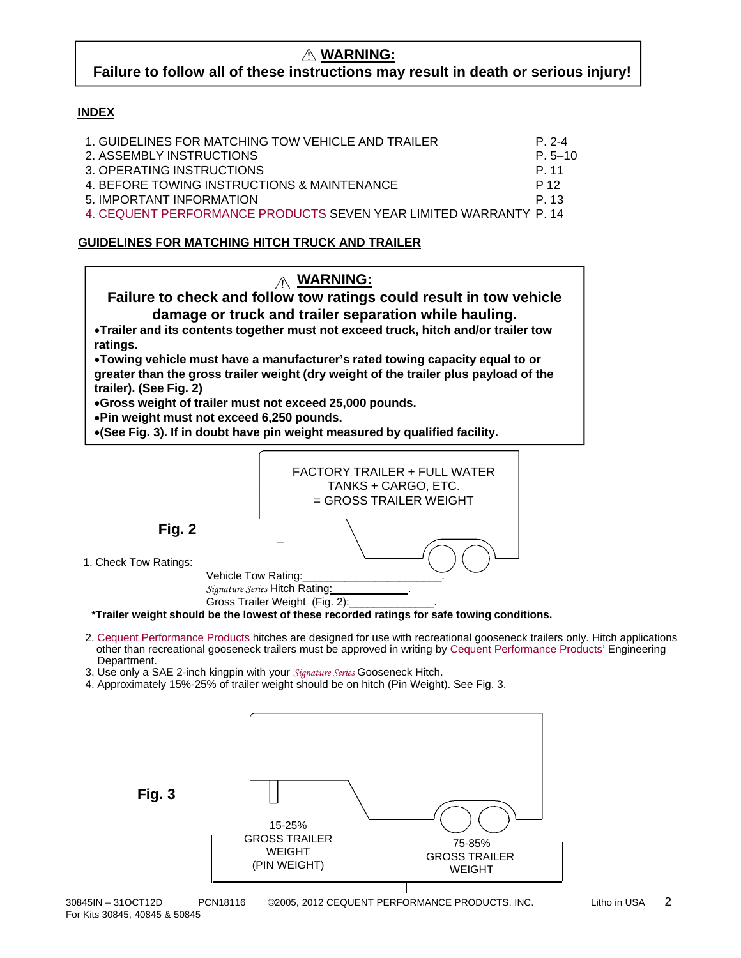# **Failure to follow all of these instructions may result in death or serious injury!**

## **INDEX**

| 1. GUIDELINES FOR MATCHING TOW VEHICLE AND TRAILER                | P 2-4       |
|-------------------------------------------------------------------|-------------|
| 2. ASSEMBLY INSTRUCTIONS                                          | $P. 5 - 10$ |
| 3. OPERATING INSTRUCTIONS                                         | P 11        |
| 4. BEFORE TOWING INSTRUCTIONS & MAINTENANCE                       | P 12        |
| 5. IMPORTANT INFORMATION                                          | P 13        |
| 4. CEQUENT PERFORMANCE PRODUCTS SEVEN YEAR LIMITED WARRANTY P. 14 |             |

## **GUIDELINES FOR MATCHING HITCH TRUCK AND TRAILER**



Gross Trailer Weight (Fig. 2): **\*Trailer weight should be the lowest of these recorded ratings for safe towing conditions.**

- 2. Cequent Performance Products hitches are designed for use with recreational gooseneck trailers only. Hitch applications other than recreational gooseneck trailers must be approved in writing by Cequent Performance Products' Engineering Department.
- 3. Use only a SAE 2-inch kingpin with your *Signature Series* Gooseneck Hitch.

*Signature Series* Hitch Rating:

4. Approximately 15%-25% of trailer weight should be on hitch (Pin Weight). See Fig. 3.

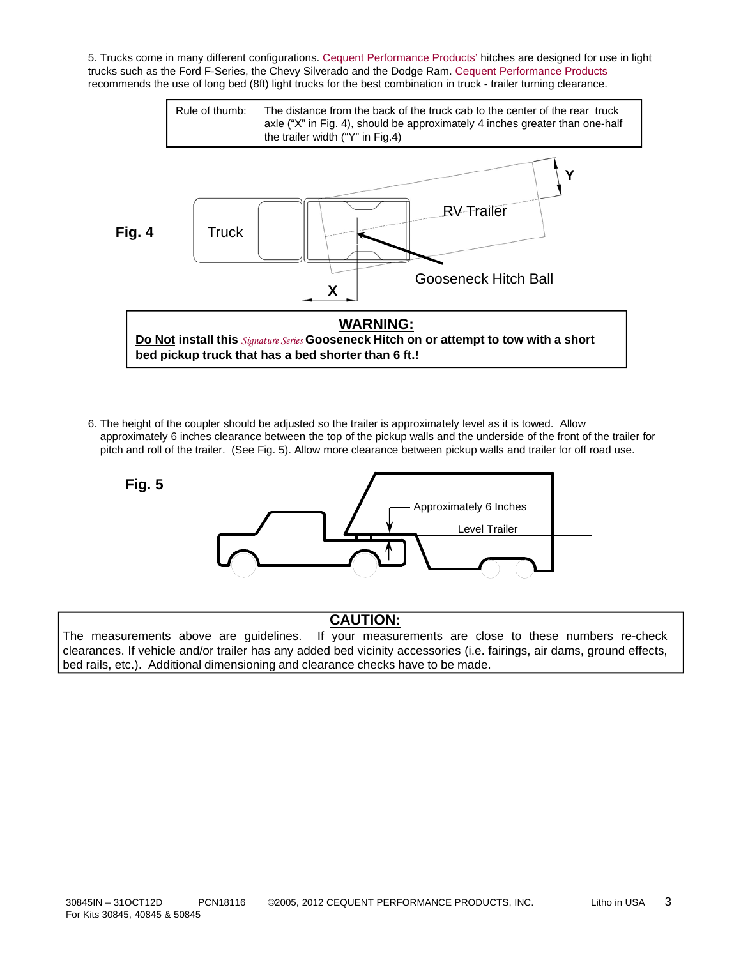5. Trucks come in many different configurations. Cequent Performance Products' hitches are designed for use in light trucks such as the Ford F-Series, the Chevy Silverado and the Dodge Ram. Cequent Performance Products recommends the use of long bed (8ft) light trucks for the best combination in truck - trailer turning clearance.



6. The height of the coupler should be adjusted so the trailer is approximately level as it is towed. Allow approximately 6 inches clearance between the top of the pickup walls and the underside of the front of the trailer for pitch and roll of the trailer. (See Fig. 5). Allow more clearance between pickup walls and trailer for off road use.



# **CAUTION:**

The measurements above are guidelines. If your measurements are close to these numbers re-check clearances. If vehicle and/or trailer has any added bed vicinity accessories (i.e. fairings, air dams, ground effects, bed rails, etc.). Additional dimensioning and clearance checks have to be made.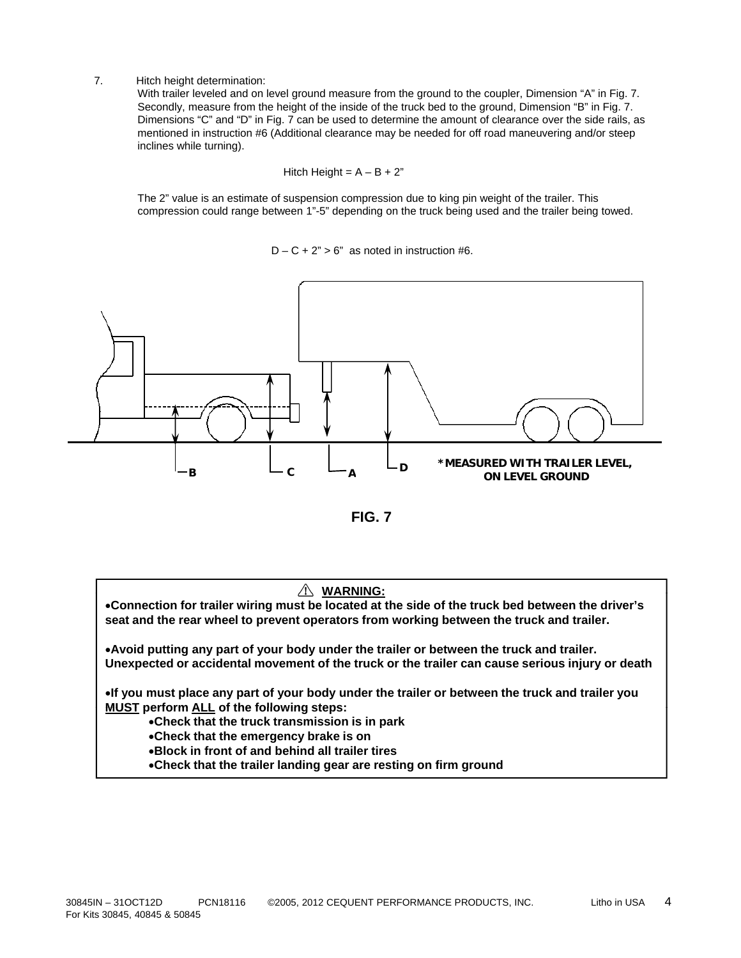### 7. Hitch height determination:

With trailer leveled and on level ground measure from the ground to the coupler, Dimension "A" in Fig. 7. Secondly, measure from the height of the inside of the truck bed to the ground, Dimension "B" in Fig. 7. Dimensions "C" and "D" in Fig. 7 can be used to determine the amount of clearance over the side rails, as mentioned in instruction #6 (Additional clearance may be needed for off road maneuvering and/or steep inclines while turning).

$$
Hitch Height = A - B + 2"
$$

The 2" value is an estimate of suspension compression due to king pin weight of the trailer. This compression could range between 1"-5" depending on the truck being used and the trailer being towed.

 $D - C + 2" > 6"$  as noted in instruction #6.



**FIG. 7**

## **WARNING:**

**Connection for trailer wiring must be located at the side of the truck bed between the driver's seat and the rear wheel to prevent operators from working between the truck and trailer.**

**Avoid putting any part of your body under the trailer or between the truck and trailer. Unexpected or accidental movement of the truck or the trailer can cause serious injury or death**

**If you must place any part of your body under the trailer or between the truck and trailer you MUST** perform ALL of the following steps:

**Check that the truck transmission is in park**

- **Check that the emergency brake is on**
- **Block in front of and behind all trailer tires**
- **Check that the trailer landing gear are resting on firm ground**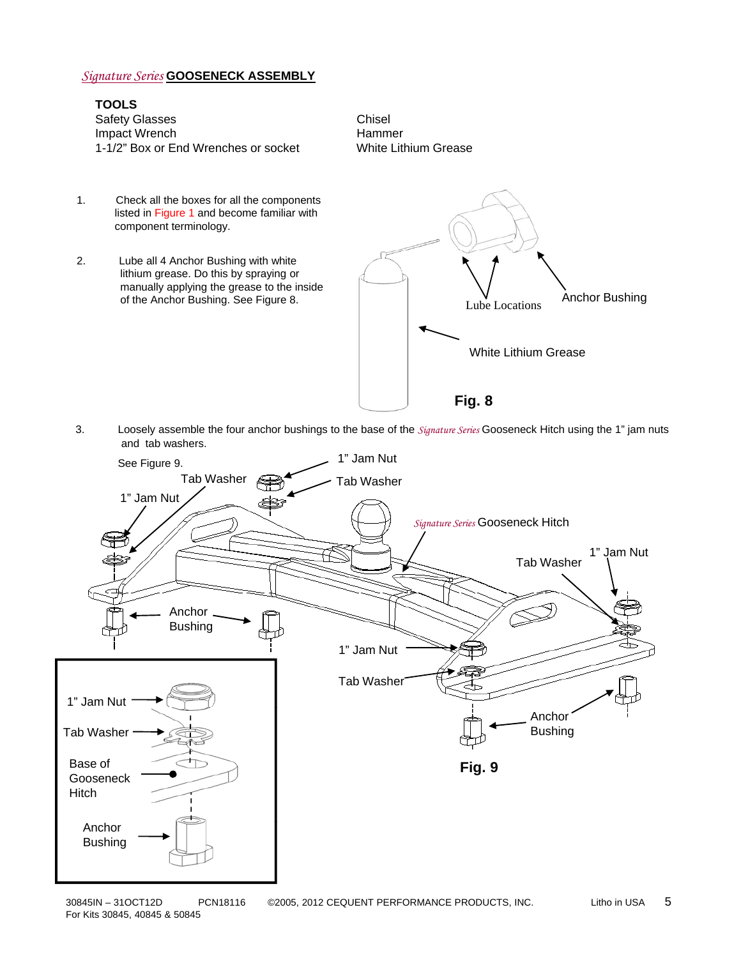## *Signature Series* **GOOSENECK ASSEMBLY**

## **TOOLS** Safety Glasses<br>
Impact Wrench<br>
Hammer Impact Wrench 1-1/2" Box or End Wrenches or socket White Lithium Grease

- 1. Check all the boxes for all the components listed in Figure 1 and become familiar with component terminology. 2. Lube all 4 Anchor Bushing with white lithium grease. Do this by spraying or manually applying the grease to the inside of the Anchor Bushing. See Figure 8. Lube Locations Anchor Bushing. White Lithium Grease
- 3. Loosely assemble the four anchor bushings to the base of the *Signature Series* Gooseneck Hitch using the 1" jam nuts and tab washers.

**Fig. 8**

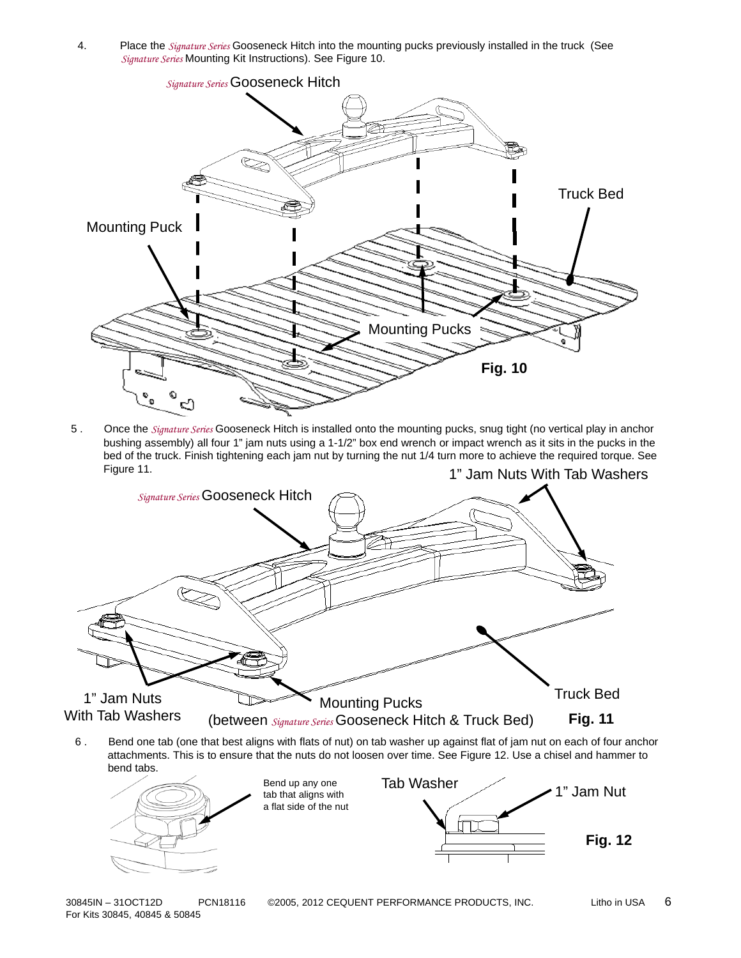4. Place the *Signature Series* Gooseneck Hitch into the mounting pucks previously installed in the truck (See *Signature Series* Mounting Kit Instructions). See Figure 10.



5 . Once the *Signature Series* Gooseneck Hitch is installed onto the mounting pucks, snug tight (no vertical play in anchor bushing assembly) all four 1" jam nuts using a 1-1/2" box end wrench or impact wrench as it sits in the pucks in the bed of the truck. Finish tightening each jam nut by turning the nut 1/4 turn more to achieve the required torque. See Figure 11. **1.** 1" Jam Nuts With Tab Washers



6 . Bend one tab (one that best aligns with flats of nut) on tab washer up against flat of jam nut on each of four anchor attachments. This is to ensure that the nuts do not loosen over time. See Figure 12. Use a chisel and hammer to bend tabs.



30845IN – 31OCT12D PCN18116 ©2005, 2012 CEQUENT PERFORMANCE PRODUCTS, INC. Litho in USA 6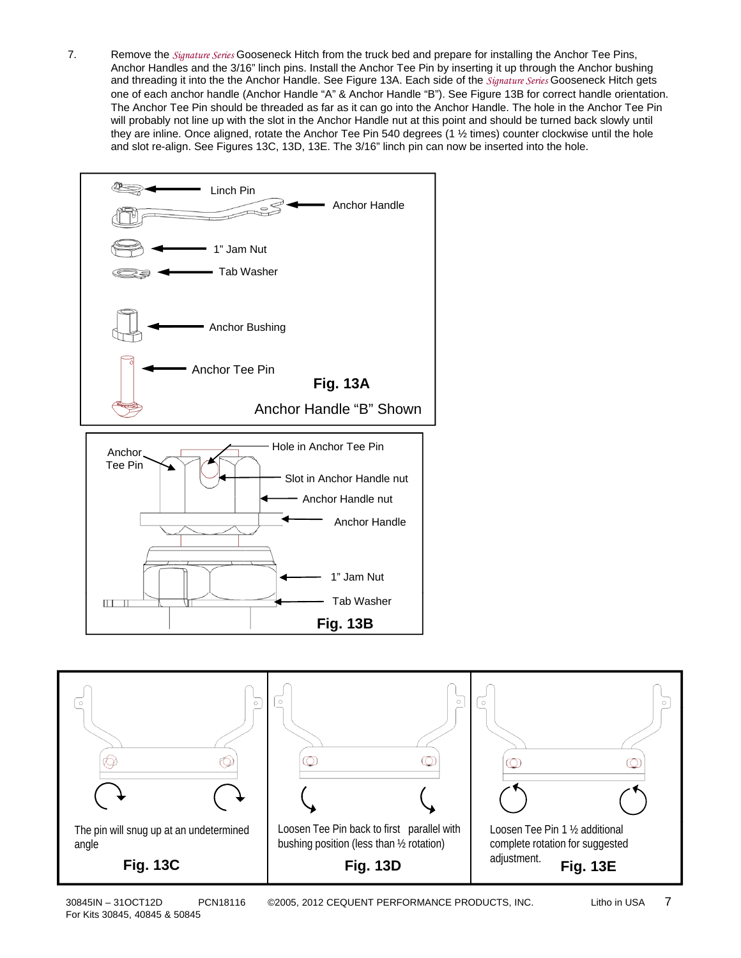7. Remove the *Signature Series* Gooseneck Hitch from the truck bed and prepare for installing the Anchor Tee Pins, Anchor Handles and the 3/16" linch pins. Install the Anchor Tee Pin by inserting it up through the Anchor bushing and threading it into the the Anchor Handle. See Figure 13A. Each side of the *Signature Series* Gooseneck Hitch gets one of each anchor handle (Anchor Handle "A" & Anchor Handle "B"). See Figure 13B for correct handle orientation. The Anchor Tee Pin should be threaded as far as it can go into the Anchor Handle. The hole in the Anchor Tee Pin will probably not line up with the slot in the Anchor Handle nut at this point and should be turned back slowly until they are inline. Once aligned, rotate the Anchor Tee Pin 540 degrees (1  $\frac{1}{2}$  times) counter clockwise until the hole and slot re-align. See Figures 13C, 13D, 13E. The 3/16" linch pin can now be inserted into the hole.



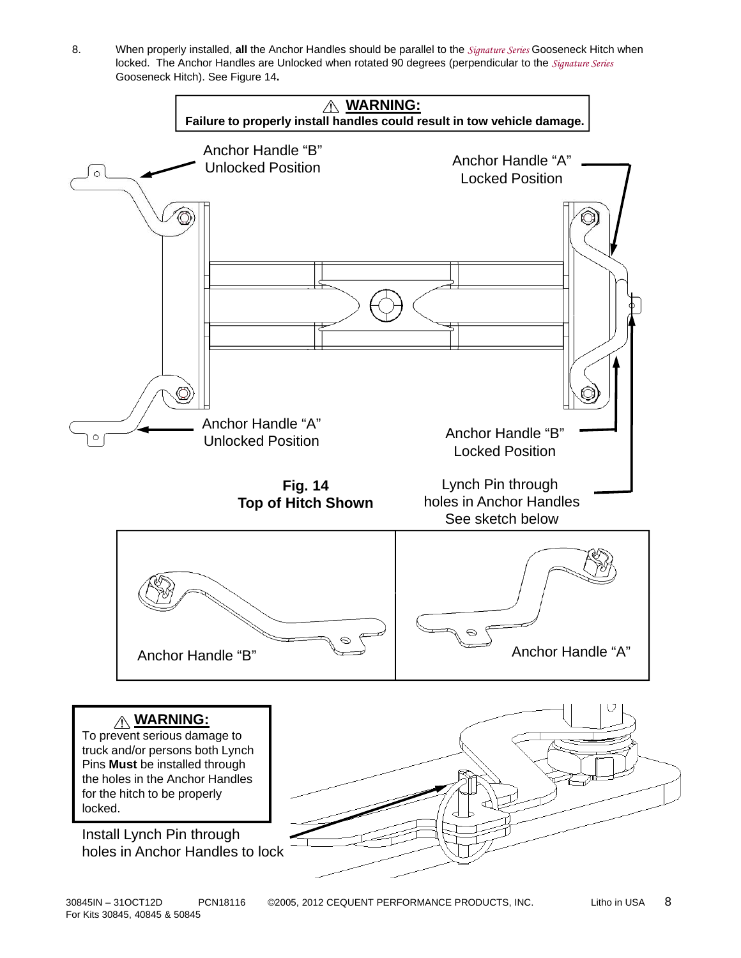8. When properly installed, **all** the Anchor Handles should be parallel to the *Signature Series* Gooseneck Hitch when locked. The Anchor Handles are Unlocked when rotated 90 degrees (perpendicular to the *Signature Series* Gooseneck Hitch). See Figure 14**.** 

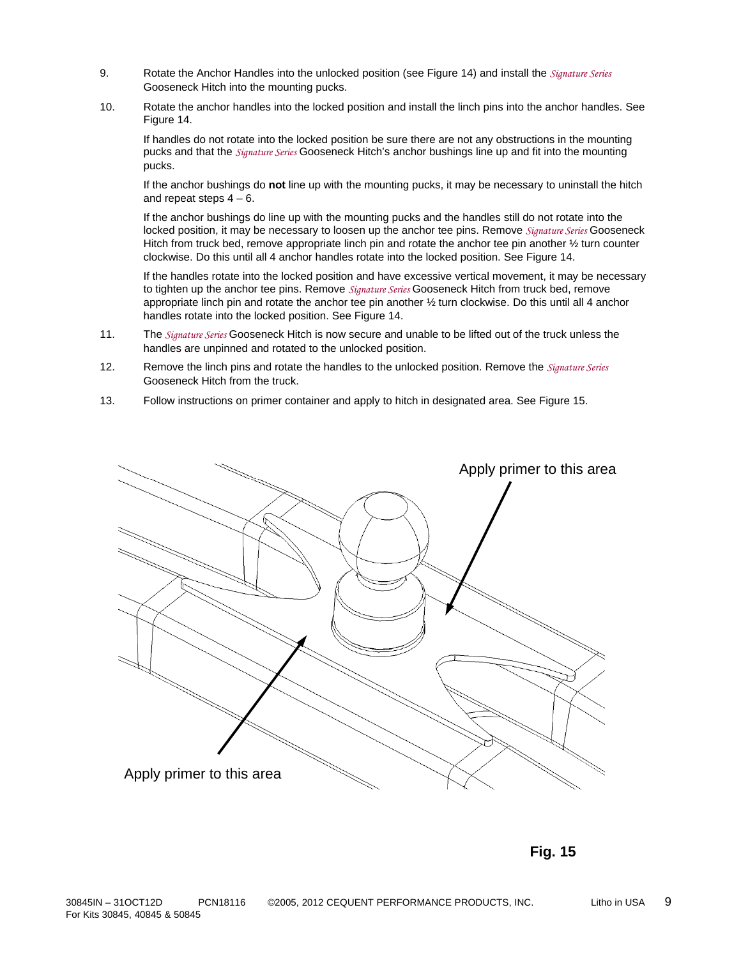- 9. Rotate the Anchor Handles into the unlocked position (see Figure 14) and install the *Signature Series* Gooseneck Hitch into the mounting pucks.
- 10. Rotate the anchor handles into the locked position and install the linch pins into the anchor handles. See Figure 14.

If handles do not rotate into the locked position be sure there are not any obstructions in the mounting pucks and that the *Signature Series* Gooseneck Hitch's anchor bushings line up and fit into the mounting pucks.

If the anchor bushings do **not** line up with the mounting pucks, it may be necessary to uninstall the hitch and repeat steps  $4 - 6$ .

If the anchor bushings do line up with the mounting pucks and the handles still do not rotate into the locked position, it may be necessary to loosen up the anchor tee pins. Remove *Signature Series* Gooseneck Hitch from truck bed, remove appropriate linch pin and rotate the anchor tee pin another ½ turn counter clockwise. Do this until all 4 anchor handles rotate into the locked position. See Figure 14.

If the handles rotate into the locked position and have excessive vertical movement, it may be necessary to tighten up the anchor tee pins. Remove *Signature Series* Gooseneck Hitch from truck bed, remove appropriate linch pin and rotate the anchor tee pin another ½ turn clockwise. Do this until all 4 anchor handles rotate into the locked position. See Figure 14.

- 11. The *Signature Series* Gooseneck Hitch is now secure and unable to be lifted out of the truck unless the handles are unpinned and rotated to the unlocked position.
- 12. Remove the linch pins and rotate the handles to the unlocked position. Remove the *Signature Series* Gooseneck Hitch from the truck.
- 13. Follow instructions on primer container and apply to hitch in designated area. See Figure 15.



**Fig. 15**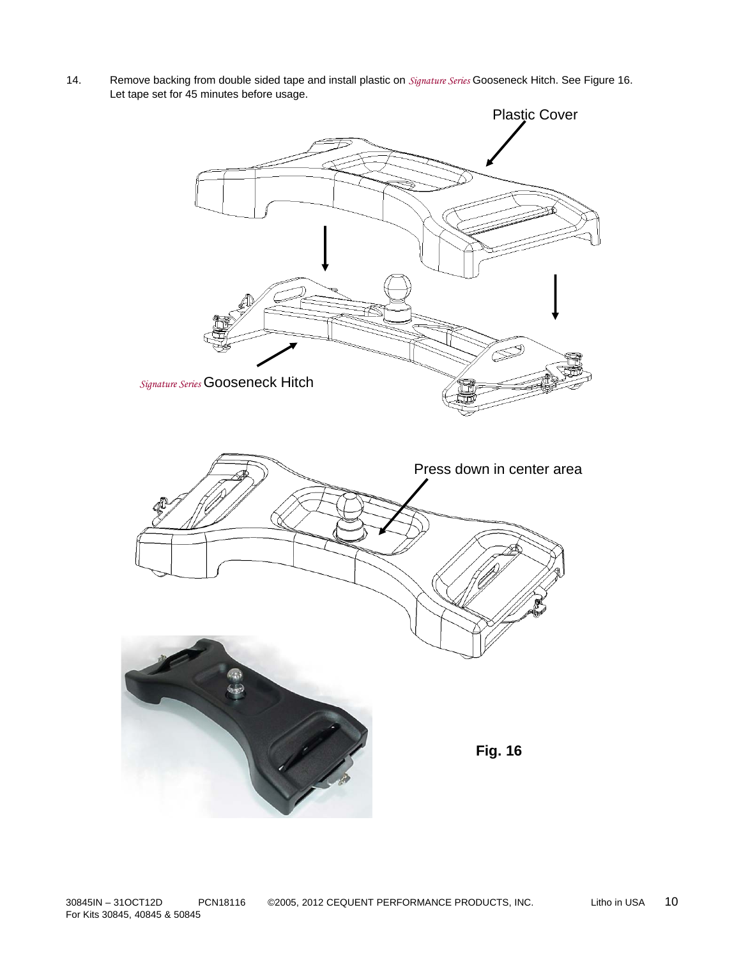14. Remove backing from double sided tape and install plastic on *Signature Series* Gooseneck Hitch. See Figure 16. Let tape set for 45 minutes before usage.

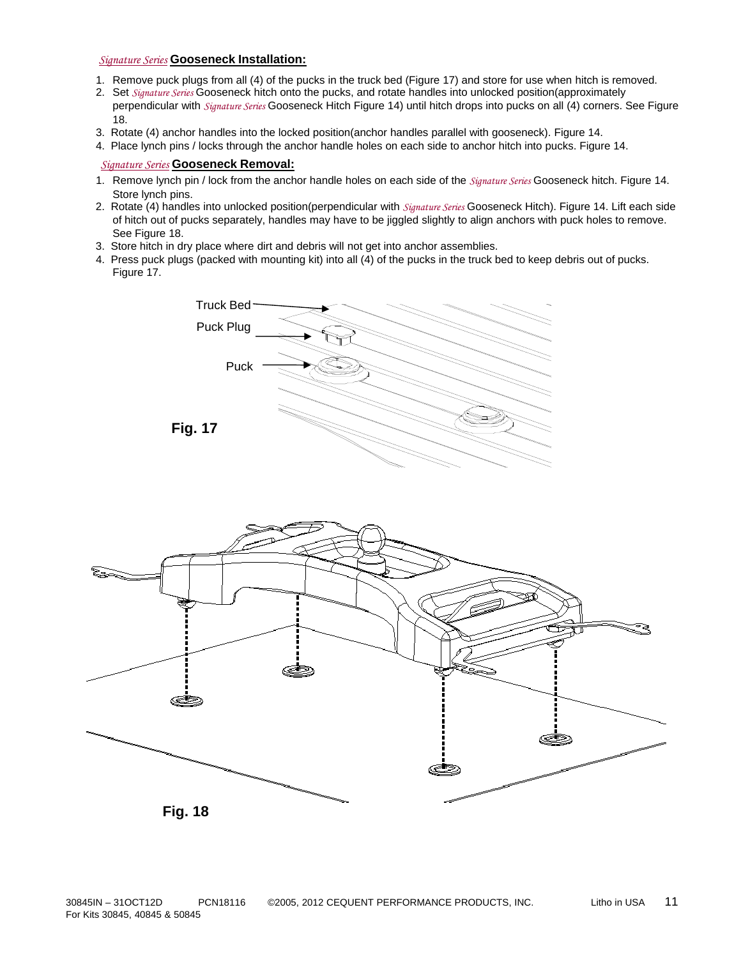## *Signature Series* **Gooseneck Installation:**

- 1. Remove puck plugs from all (4) of the pucks in the truck bed (Figure 17) and store for use when hitch is removed.
- 2. Set *Signature Series* Gooseneck hitch onto the pucks, and rotate handles into unlocked position(approximately perpendicular with *Signature Series* Gooseneck Hitch Figure 14) until hitch drops into pucks on all (4) corners. See Figure 18.
- 3. Rotate (4) anchor handles into the locked position(anchor handles parallel with gooseneck). Figure 14. 3. Rotate (4) anchor handles into the locked position(anchor handles parallel with gooseneck). Figure
- 4. Place lynch pins / locks through the anchor handle holes on each side to anchor hitch into pucks. Figure 14.

## *Signature Series* **Gooseneck Removal:**

- 1. Remove lynch pin / lock from the anchor handle holes on each side of the *Signature Series* Gooseneck hitch. Figure 14. Store lynch pins.
- 2. Rotate (4) handles into unlocked position(perpendicular with *Signature Series* Gooseneck Hitch). Figure 14. Lift each side of hitch out of pucks separately, handles may have to be jiggled slightly to align anchors with puck holes to remove. See Figure 18.
- 3. Store hitch in dry place where dirt and debris will not get into anchor assemblies.
- 4. Press puck plugs (packed with mounting kit) into all  $(4)$  of the pucks in the truck bed to keep debris out of pucks. Figure 17.



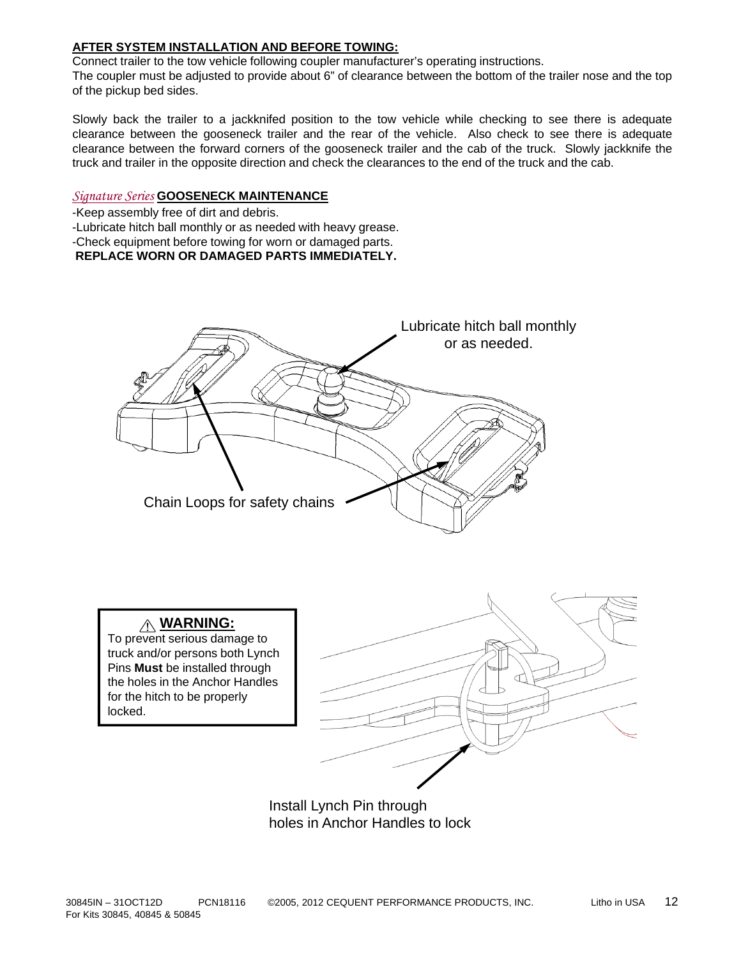## **AFTER SYSTEM INSTALLATION AND BEFORE TOWING:**

Connect trailer to the tow vehicle following coupler manufacturer's operating instructions. The coupler must be adjusted to provide about 6" of clearance between the bottom of the trailer nose and the top of the pickup bed sides.

Slowly back the trailer to a jackknifed position to the tow vehicle while checking to see there is adequate clearance between the gooseneck trailer and the rear of the vehicle. Also check to see there is adequate clearance between the forward corners of the gooseneck trailer and the cab of the truck. Slowly jackknife the truck and trailer in the opposite direction and check the clearances to the end of the truck and the cab.

## *Signature Series* **GOOSENECK MAINTENANCE**

-Keep assembly free of dirt and debris.

-Lubricate hitch ball monthly or as needed with heavy grease.

-Check equipment before towing for worn or damaged parts.

## **REPLACE WORN OR DAMAGED PARTS IMMEDIATELY.**



**WARNING:** 

To prevent serious damage to truck and/or persons both Lynch Pins **Must** be installed through the holes in the Anchor Handles for the hitch to be properly locked.



Install Lynch Pin through holes in Anchor Handles to lock holes in Anchor Handles to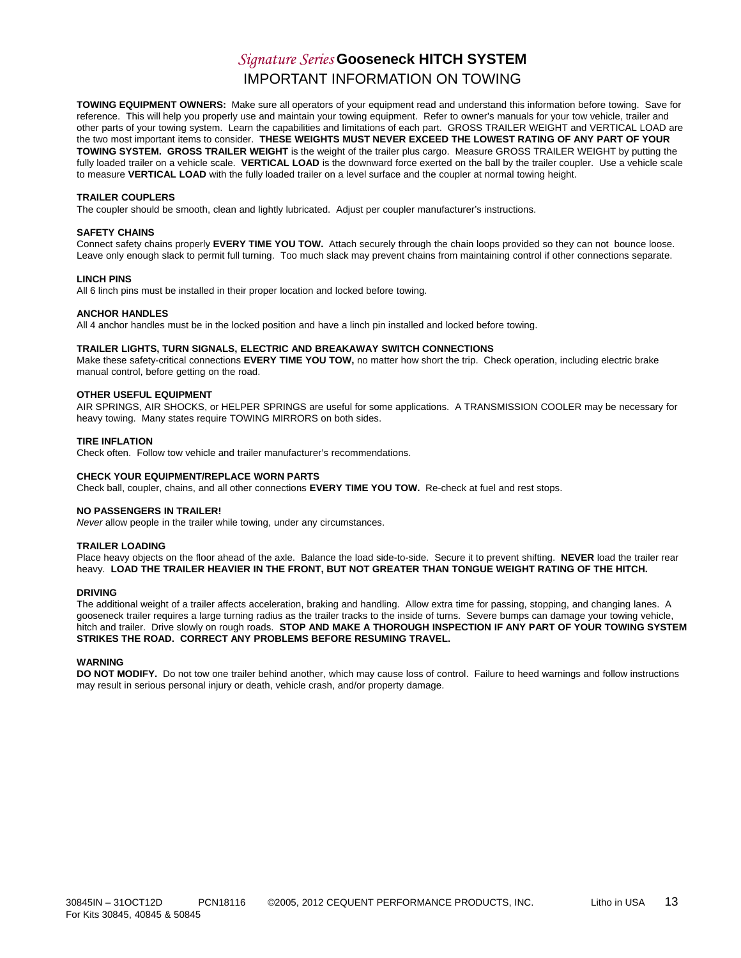# *Signature Series* **Gooseneck HITCH SYSTEM** IMPORTANT INFORMATION ON TOWING

**TOWING EQUIPMENT OWNERS:** Make sure all operators of your equipment read and understand this information before towing. Save for reference. This will help you properly use and maintain your towing equipment. Refer to owner's manuals for your tow vehicle, trailer and other parts of your towing system. Learn the capabilities and limitations of each part. GROSS TRAILER WEIGHT and VERTICAL LOAD are the two most important items to consider. THESE WEIGHTS MUST NEVER EXCEED THE LOWEST RATING OF ANY PART OF YOUR **TOWING SYSTEM. GROSS TRAILER WEIGHT** is the weight of the trailer plus cargo. Measure GROSS TRAILER WEIGHT by putting the fully loaded trailer on a vehicle scale. **VERTICAL LOAD** is the downward force exerted on the ball by the trailer coupler. Use a vehicle scale to measure **VERTICAL LOAD** with the fully loaded trailer on a level surface and the coupler at normal towing height.

#### **TRAILER COUPLERS**

The coupler should be smooth, clean and lightly lubricated. Adjust per coupler manufacturer's instructions.

#### **SAFETY CHAINS**

Connect safety chains properly **EVERY TIME YOU TOW.** Attach securely through the chain loops provided so they can not bounce loose. Leave only enough slack to permit full turning. Too much slack may prevent chains from maintaining control if other connections separate.

#### **LINCH PINS**

All 6 linch pins must be installed in their proper location and locked before towing.

#### **ANCHOR HANDLES**

All 4 anchor handles must be in the locked position and have a linch pin installed and locked before towing.

#### **TRAILER LIGHTS, TURN SIGNALS, ELECTRIC AND BREAKAWAY SWITCH CONNECTIONS**

Make these safety-critical connections EVERY TIME YOU TOW, no matter how short the trip. Check operation, including electric brake manual control, before getting on the road.

#### **OTHER USEFUL EQUIPMENT**

AIR SPRINGS, AIR SHOCKS, or HELPER SPRINGS are useful for some applications. A TRANSMISSION COOLER may be necessary for heavy towing. Many states require TOWING MIRRORS on both sides.

#### **TIRE INFLATION**

Check often. Follow tow vehicle and trailer manufacturer's recommendations.

#### **CHECK YOUR EQUIPMENT/REPLACE WORN PARTS CHECK YOUR EQUIPMENT/REPLACE WORN**

Check ball, coupler, chains, and all other connections **EVERY TIME YOU TOW.** Re-check at fuel and rest stops.

#### **NO PASSENGERS IN TRAILER!**

*Never* allow people in the trailer while towing, under any circumstances.

#### **TRAILER LOADING**

Place heavy objects on the floor ahead of the axle. Balance the load side-to-side. Secure it to prevent shifting. **NEVER** load the trailer rear heavy. **LOAD THE TRAILER HEAVIER IN THE FRONT, BUT NOT GREATER THAN TONGUE WEIGHT RATING OF THE HITCH.**

#### **DRIVING**

The additional weight of a trailer affects acceleration, braking and handling. Allow extra time for passing, stopping, and changing lanes. A gooseneck trailer requires a large turning radius as the trailer tracks to the inside of turns. Severe bumps can damage your towing vehicle, hitch and trailer. Drive slowly on rough roads. **STOP AND MAKE A THOROUGH INSPECTION IF ANY PART OF YOUR TOWING SYSTEM STRIKES THE ROAD. CORRECT ANY PROBLEMS BEFORE RESUMING TRAVEL.**

#### **WARNING**

**DO NOT MODIFY.** Do not tow one trailer behind another, which may cause loss of control. Failure to heed warnings and follow instructions may result in serious personal injury or death, vehicle crash, and/or property damage.